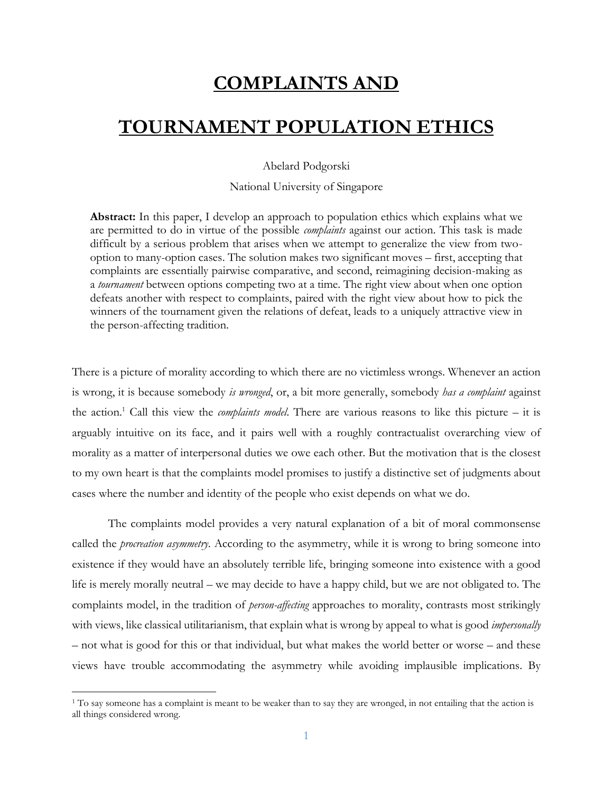# **COMPLAINTS AND**

## **TOURNAMENT POPULATION ETHICS**

Abelard Podgorski

National University of Singapore

**Abstract:** In this paper, I develop an approach to population ethics which explains what we are permitted to do in virtue of the possible *complaints* against our action. This task is made difficult by a serious problem that arises when we attempt to generalize the view from twooption to many-option cases. The solution makes two significant moves – first, accepting that complaints are essentially pairwise comparative, and second, reimagining decision-making as a *tournament* between options competing two at a time. The right view about when one option defeats another with respect to complaints, paired with the right view about how to pick the winners of the tournament given the relations of defeat, leads to a uniquely attractive view in the person-affecting tradition.

There is a picture of morality according to which there are no victimless wrongs. Whenever an action is wrong, it is because somebody *is wronged*, or, a bit more generally, somebody *has a complaint* against the action.<sup>1</sup> Call this view the *complaints model*. There are various reasons to like this picture – it is arguably intuitive on its face, and it pairs well with a roughly contractualist overarching view of morality as a matter of interpersonal duties we owe each other. But the motivation that is the closest to my own heart is that the complaints model promises to justify a distinctive set of judgments about cases where the number and identity of the people who exist depends on what we do.

The complaints model provides a very natural explanation of a bit of moral commonsense called the *procreation asymmetry*. According to the asymmetry, while it is wrong to bring someone into existence if they would have an absolutely terrible life, bringing someone into existence with a good life is merely morally neutral – we may decide to have a happy child, but we are not obligated to. The complaints model, in the tradition of *person-affecting* approaches to morality, contrasts most strikingly with views, like classical utilitarianism, that explain what is wrong by appeal to what is good *impersonally* – not what is good for this or that individual, but what makes the world better or worse – and these views have trouble accommodating the asymmetry while avoiding implausible implications. By

<sup>&</sup>lt;sup>1</sup> To say someone has a complaint is meant to be weaker than to say they are wronged, in not entailing that the action is all things considered wrong.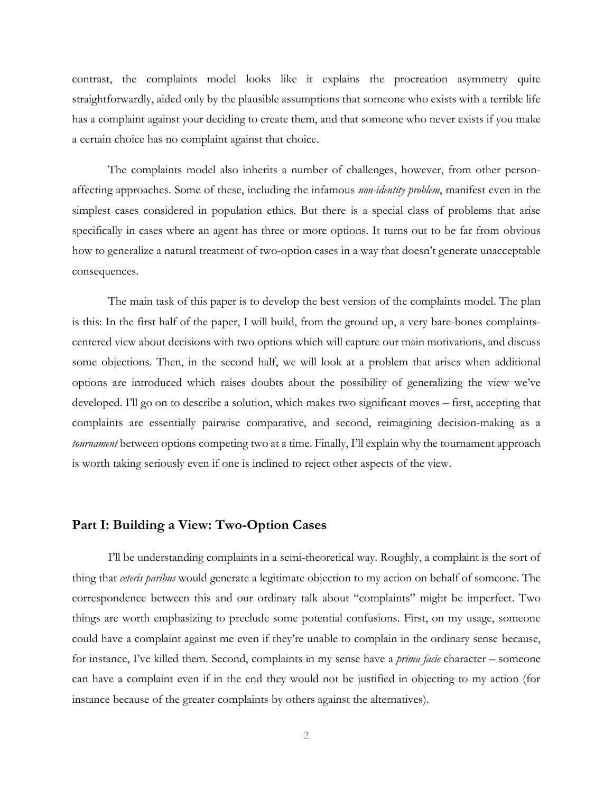contrast, the complaints model looks like it explains the procreation asymmetry quite straightforwardly, aided only by the plausible assumptions that someone who exists with a terrible life has a complaint against your deciding to create them, and that someone who never exists if you make a certain choice has no complaint against that choice.

The complaints model also inherits a number of challenges, however, from other personaffecting approaches. Some of these, including the infamous *non-identity problem*, manifest even in the simplest cases considered in population ethics. But there is a special class of problems that arise specifically in cases where an agent has three or more options. It turns out to be far from obvious how to generalize a natural treatment of two-option cases in a way that doesn't generate unacceptable consequences.

The main task of this paper is to develop the best version of the complaints model. The plan is this: In the first half of the paper, I will build, from the ground up, a very bare-bones complaintscentered view about decisions with two options which will capture our main motivations, and discuss some objections. Then, in the second half, we will look at a problem that arises when additional options are introduced which raises doubts about the possibility of generalizing the view we've developed. I'll go on to describe a solution, which makes two significant moves – first, accepting that complaints are essentially pairwise comparative, and second, reimagining decision-making as a *tournament* between options competing two at a time. Finally, I'll explain why the tournament approach is worth taking seriously even if one is inclined to reject other aspects of the view.

### **Part I: Building a View: Two-Option Cases**

I'll be understanding complaints in a semi-theoretical way. Roughly, a complaint is the sort of thing that *ceteris paribus* would generate a legitimate objection to my action on behalf of someone. The correspondence between this and our ordinary talk about "complaints" might be imperfect. Two things are worth emphasizing to preclude some potential confusions. First, on my usage, someone could have a complaint against me even if they're unable to complain in the ordinary sense because, for instance, I've killed them. Second, complaints in my sense have a *prima facie* character – someone can have a complaint even if in the end they would not be justified in objecting to my action (for instance because of the greater complaints by others against the alternatives).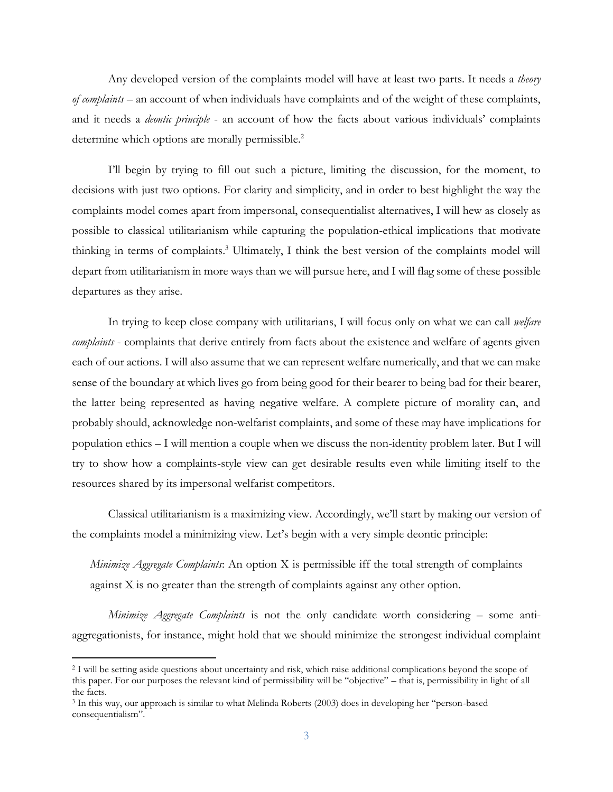Any developed version of the complaints model will have at least two parts. It needs a *theory of complaints* – an account of when individuals have complaints and of the weight of these complaints, and it needs a *deontic principle* - an account of how the facts about various individuals' complaints determine which options are morally permissible.<sup>2</sup>

I'll begin by trying to fill out such a picture, limiting the discussion, for the moment, to decisions with just two options. For clarity and simplicity, and in order to best highlight the way the complaints model comes apart from impersonal, consequentialist alternatives, I will hew as closely as possible to classical utilitarianism while capturing the population-ethical implications that motivate thinking in terms of complaints.<sup>3</sup> Ultimately, I think the best version of the complaints model will depart from utilitarianism in more ways than we will pursue here, and I will flag some of these possible departures as they arise.

In trying to keep close company with utilitarians, I will focus only on what we can call *welfare complaints* - complaints that derive entirely from facts about the existence and welfare of agents given each of our actions. I will also assume that we can represent welfare numerically, and that we can make sense of the boundary at which lives go from being good for their bearer to being bad for their bearer, the latter being represented as having negative welfare. A complete picture of morality can, and probably should, acknowledge non-welfarist complaints, and some of these may have implications for population ethics – I will mention a couple when we discuss the non-identity problem later. But I will try to show how a complaints-style view can get desirable results even while limiting itself to the resources shared by its impersonal welfarist competitors.

Classical utilitarianism is a maximizing view. Accordingly, we'll start by making our version of the complaints model a minimizing view. Let's begin with a very simple deontic principle:

*Minimize Aggregate Complaints*: An option X is permissible iff the total strength of complaints against X is no greater than the strength of complaints against any other option.

*Minimize Aggregate Complaints* is not the only candidate worth considering – some antiaggregationists, for instance, might hold that we should minimize the strongest individual complaint

<sup>2</sup> I will be setting aside questions about uncertainty and risk, which raise additional complications beyond the scope of this paper. For our purposes the relevant kind of permissibility will be "objective" – that is, permissibility in light of all the facts.

<sup>3</sup> In this way, our approach is similar to what Melinda Roberts (2003) does in developing her "person-based consequentialism".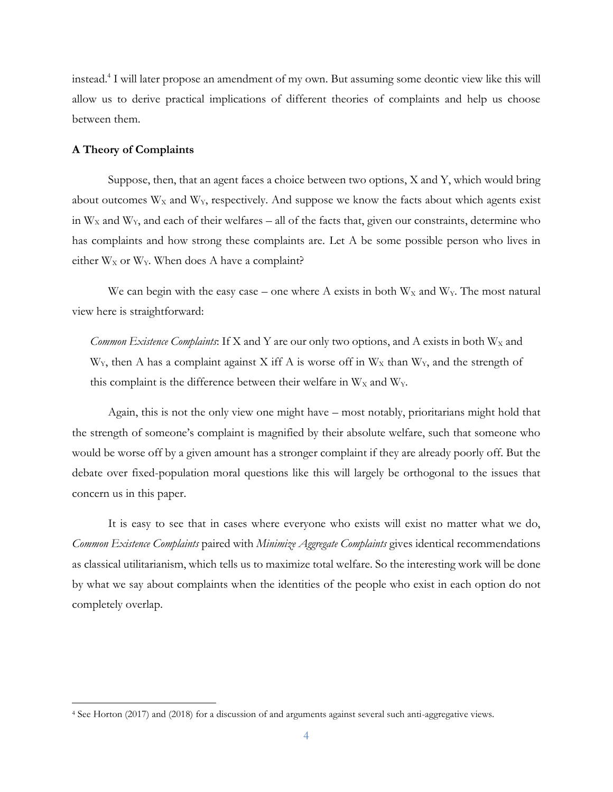instead.<sup>4</sup> I will later propose an amendment of my own. But assuming some deontic view like this will allow us to derive practical implications of different theories of complaints and help us choose between them.

#### **A Theory of Complaints**

Suppose, then, that an agent faces a choice between two options, X and Y, which would bring about outcomes  $W_X$  and  $W_Y$ , respectively. And suppose we know the facts about which agents exist in  $W_X$  and  $W_Y$ , and each of their welfares – all of the facts that, given our constraints, determine who has complaints and how strong these complaints are. Let A be some possible person who lives in either  $W_X$  or  $W_Y$ . When does A have a complaint?

We can begin with the easy case – one where A exists in both  $W_X$  and  $W_Y$ . The most natural view here is straightforward:

*Common Existence Complaints*: If X and Y are our only two options, and A exists in both  $W_x$  and  $W<sub>Y</sub>$ , then A has a complaint against X iff A is worse off in  $W<sub>X</sub>$  than  $W<sub>Y</sub>$ , and the strength of this complaint is the difference between their welfare in  $W_X$  and  $W_Y$ .

Again, this is not the only view one might have – most notably, prioritarians might hold that the strength of someone's complaint is magnified by their absolute welfare, such that someone who would be worse off by a given amount has a stronger complaint if they are already poorly off. But the debate over fixed-population moral questions like this will largely be orthogonal to the issues that concern us in this paper.

It is easy to see that in cases where everyone who exists will exist no matter what we do, *Common Existence Complaints* paired with *Minimize Aggregate Complaints* gives identical recommendations as classical utilitarianism, which tells us to maximize total welfare. So the interesting work will be done by what we say about complaints when the identities of the people who exist in each option do not completely overlap.

<sup>4</sup> See Horton (2017) and (2018) for a discussion of and arguments against several such anti-aggregative views.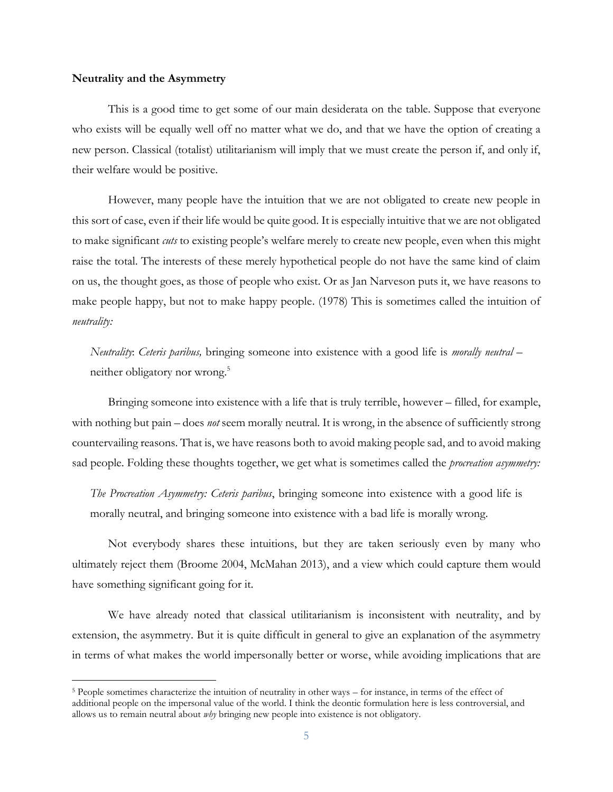#### **Neutrality and the Asymmetry**

This is a good time to get some of our main desiderata on the table. Suppose that everyone who exists will be equally well off no matter what we do, and that we have the option of creating a new person. Classical (totalist) utilitarianism will imply that we must create the person if, and only if, their welfare would be positive.

However, many people have the intuition that we are not obligated to create new people in this sort of case, even if their life would be quite good. It is especially intuitive that we are not obligated to make significant *cuts* to existing people's welfare merely to create new people, even when this might raise the total. The interests of these merely hypothetical people do not have the same kind of claim on us, the thought goes, as those of people who exist. Or as Jan Narveson puts it, we have reasons to make people happy, but not to make happy people. (1978) This is sometimes called the intuition of *neutrality:*

*Neutrality*: *Ceteris paribus,* bringing someone into existence with a good life is *morally neutral* – neither obligatory nor wrong. 5

Bringing someone into existence with a life that is truly terrible, however – filled, for example, with nothing but pain – does *not* seem morally neutral. It is wrong, in the absence of sufficiently strong countervailing reasons. That is, we have reasons both to avoid making people sad, and to avoid making sad people. Folding these thoughts together, we get what is sometimes called the *procreation asymmetry:*

*The Procreation Asymmetry: Ceteris paribus*, bringing someone into existence with a good life is morally neutral, and bringing someone into existence with a bad life is morally wrong.

Not everybody shares these intuitions, but they are taken seriously even by many who ultimately reject them (Broome 2004, McMahan 2013), and a view which could capture them would have something significant going for it.

We have already noted that classical utilitarianism is inconsistent with neutrality, and by extension, the asymmetry. But it is quite difficult in general to give an explanation of the asymmetry in terms of what makes the world impersonally better or worse, while avoiding implications that are

<sup>5</sup> People sometimes characterize the intuition of neutrality in other ways – for instance, in terms of the effect of additional people on the impersonal value of the world. I think the deontic formulation here is less controversial, and allows us to remain neutral about *why* bringing new people into existence is not obligatory.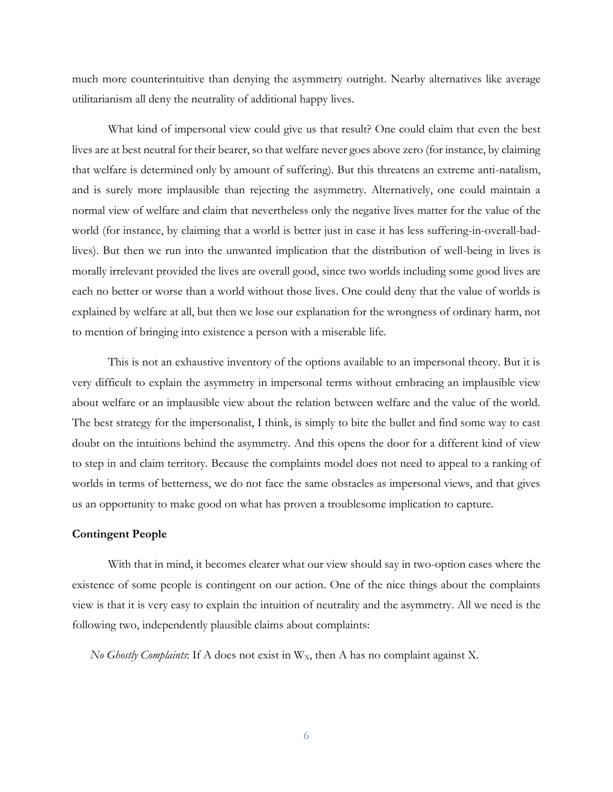much more counterintuitive than denying the asymmetry outright. Nearby alternatives like average utilitarianism all deny the neutrality of additional happy lives.

What kind of impersonal view could give us that result? One could claim that even the best lives are at best neutral for their bearer, so that welfare never goes above zero (for instance, by claiming that welfare is determined only by amount of suffering). But this threatens an extreme anti-natalism, and is surely more implausible than rejecting the asymmetry. Alternatively, one could maintain a normal view of welfare and claim that nevertheless only the negative lives matter for the value of the world (for instance, by claiming that a world is better just in case it has less suffering-in-overall-badlives). But then we run into the unwanted implication that the distribution of well-being in lives is morally irrelevant provided the lives are overall good, since two worlds including some good lives are each no better or worse than a world without those lives. One could deny that the value of worlds is explained by welfare at all, but then we lose our explanation for the wrongness of ordinary harm, not to mention of bringing into existence a person with a miserable life.

This is not an exhaustive inventory of the options available to an impersonal theory. But it is very difficult to explain the asymmetry in impersonal terms without embracing an implausible view about welfare or an implausible view about the relation between welfare and the value of the world. The best strategy for the impersonalist, I think, is simply to bite the bullet and find some way to cast doubt on the intuitions behind the asymmetry. And this opens the door for a different kind of view to step in and claim territory. Because the complaints model does not need to appeal to a ranking of worlds in terms of betterness, we do not face the same obstacles as impersonal views, and that gives us an opportunity to make good on what has proven a troublesome implication to capture.

#### **Contingent People**

With that in mind, it becomes clearer what our view should say in two-option cases where the existence of some people is contingent on our action. One of the nice things about the complaints view is that it is very easy to explain the intuition of neutrality and the asymmetry. All we need is the following two, independently plausible claims about complaints:

*No Ghostly Complaints*: If A does not exist in  $W_x$ , then A has no complaint against X.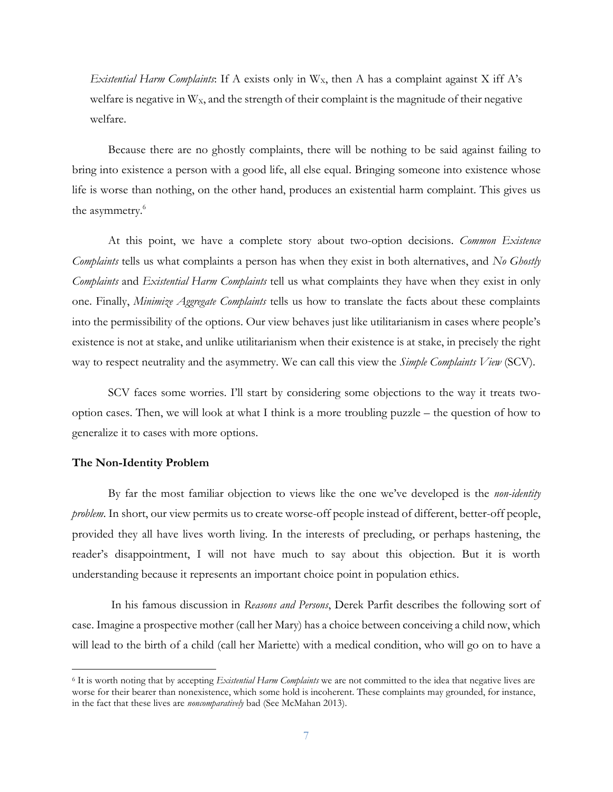*Existential Harm Complaints*: If A exists only in  $W<sub>x</sub>$ , then A has a complaint against X iff A's welfare is negative in  $W<sub>x</sub>$ , and the strength of their complaint is the magnitude of their negative welfare.

Because there are no ghostly complaints, there will be nothing to be said against failing to bring into existence a person with a good life, all else equal. Bringing someone into existence whose life is worse than nothing, on the other hand, produces an existential harm complaint. This gives us the asymmetry.<sup>6</sup>

At this point, we have a complete story about two-option decisions. *Common Existence Complaints* tells us what complaints a person has when they exist in both alternatives, and *No Ghostly Complaints* and *Existential Harm Complaints* tell us what complaints they have when they exist in only one. Finally, *Minimize Aggregate Complaints* tells us how to translate the facts about these complaints into the permissibility of the options. Our view behaves just like utilitarianism in cases where people's existence is not at stake, and unlike utilitarianism when their existence is at stake, in precisely the right way to respect neutrality and the asymmetry. We can call this view the *Simple Complaints View* (SCV).

SCV faces some worries. I'll start by considering some objections to the way it treats twooption cases. Then, we will look at what I think is a more troubling puzzle – the question of how to generalize it to cases with more options.

#### **The Non-Identity Problem**

By far the most familiar objection to views like the one we've developed is the *non-identity problem*. In short, our view permits us to create worse-off people instead of different, better-off people, provided they all have lives worth living. In the interests of precluding, or perhaps hastening, the reader's disappointment, I will not have much to say about this objection. But it is worth understanding because it represents an important choice point in population ethics.

In his famous discussion in *Reasons and Persons*, Derek Parfit describes the following sort of case. Imagine a prospective mother (call her Mary) has a choice between conceiving a child now, which will lead to the birth of a child (call her Mariette) with a medical condition, who will go on to have a

<sup>6</sup> It is worth noting that by accepting *Existential Harm Complaints* we are not committed to the idea that negative lives are worse for their bearer than nonexistence, which some hold is incoherent. These complaints may grounded, for instance, in the fact that these lives are *noncomparatively* bad (See McMahan 2013).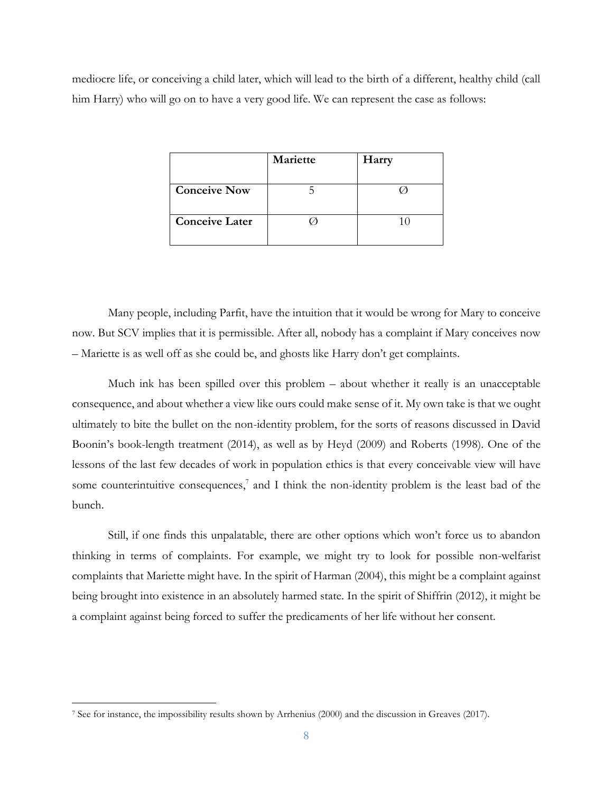mediocre life, or conceiving a child later, which will lead to the birth of a different, healthy child (call him Harry) who will go on to have a very good life. We can represent the case as follows:

|                       | Mariette | Harry |
|-----------------------|----------|-------|
|                       |          |       |
| <b>Conceive Now</b>   |          |       |
|                       |          |       |
| <b>Conceive Later</b> |          |       |
|                       |          |       |

Many people, including Parfit, have the intuition that it would be wrong for Mary to conceive now. But SCV implies that it is permissible. After all, nobody has a complaint if Mary conceives now – Mariette is as well off as she could be, and ghosts like Harry don't get complaints.

Much ink has been spilled over this problem – about whether it really is an unacceptable consequence, and about whether a view like ours could make sense of it. My own take is that we ought ultimately to bite the bullet on the non-identity problem, for the sorts of reasons discussed in David Boonin's book-length treatment (2014), as well as by Heyd (2009) and Roberts (1998). One of the lessons of the last few decades of work in population ethics is that every conceivable view will have some counterintuitive consequences,<sup>7</sup> and I think the non-identity problem is the least bad of the bunch.

Still, if one finds this unpalatable, there are other options which won't force us to abandon thinking in terms of complaints. For example, we might try to look for possible non-welfarist complaints that Mariette might have. In the spirit of Harman (2004), this might be a complaint against being brought into existence in an absolutely harmed state. In the spirit of Shiffrin (2012), it might be a complaint against being forced to suffer the predicaments of her life without her consent.

<sup>7</sup> See for instance, the impossibility results shown by Arrhenius (2000) and the discussion in Greaves (2017).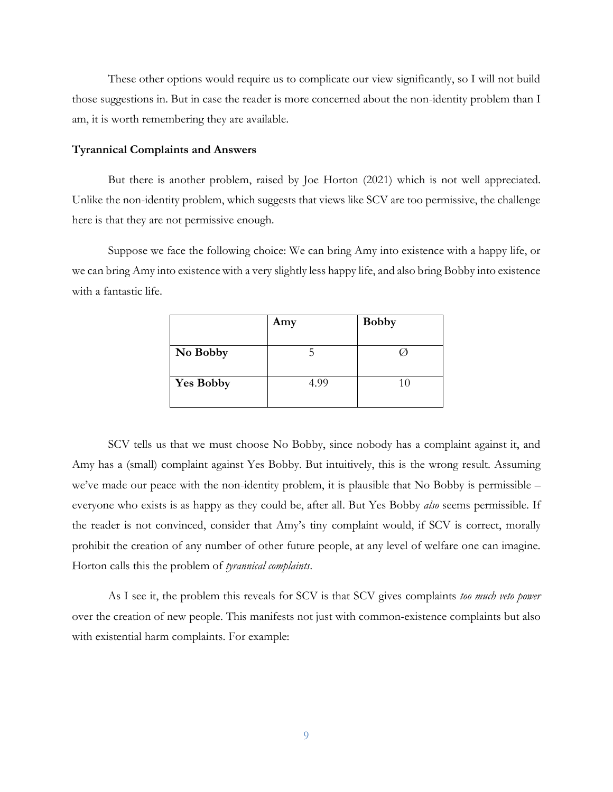These other options would require us to complicate our view significantly, so I will not build those suggestions in. But in case the reader is more concerned about the non-identity problem than I am, it is worth remembering they are available.

#### **Tyrannical Complaints and Answers**

But there is another problem, raised by Joe Horton (2021) which is not well appreciated. Unlike the non-identity problem, which suggests that views like SCV are too permissive, the challenge here is that they are not permissive enough.

Suppose we face the following choice: We can bring Amy into existence with a happy life, or we can bring Amy into existence with a very slightly less happy life, and also bring Bobby into existence with a fantastic life.

|                  | Amy  | <b>Bobby</b> |
|------------------|------|--------------|
|                  |      |              |
| No Bobby         |      |              |
| <b>Yes Bobby</b> | 4.99 | 10           |

SCV tells us that we must choose No Bobby, since nobody has a complaint against it, and Amy has a (small) complaint against Yes Bobby. But intuitively, this is the wrong result. Assuming we've made our peace with the non-identity problem, it is plausible that No Bobby is permissible – everyone who exists is as happy as they could be, after all. But Yes Bobby *also* seems permissible. If the reader is not convinced, consider that Amy's tiny complaint would, if SCV is correct, morally prohibit the creation of any number of other future people, at any level of welfare one can imagine. Horton calls this the problem of *tyrannical complaints*.

As I see it, the problem this reveals for SCV is that SCV gives complaints *too much veto power* over the creation of new people. This manifests not just with common-existence complaints but also with existential harm complaints. For example: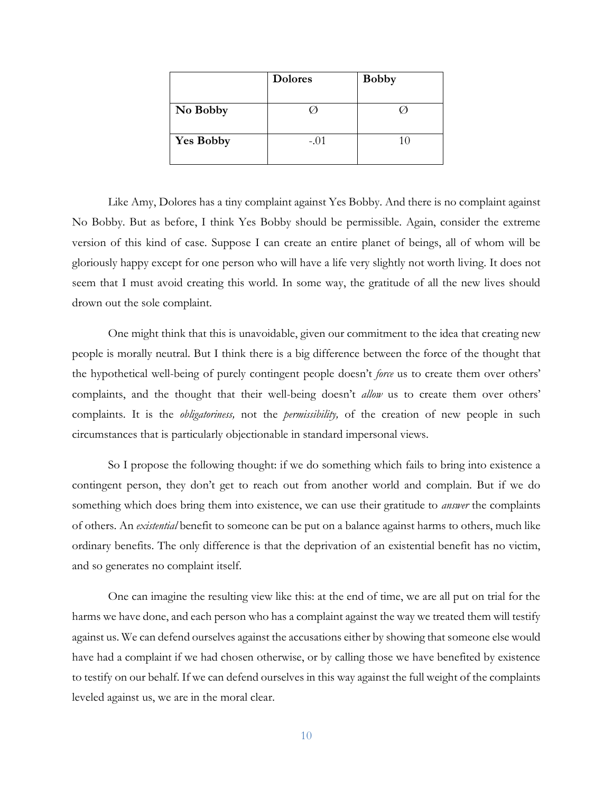|                  | <b>Dolores</b> | <b>Bobby</b> |
|------------------|----------------|--------------|
|                  |                |              |
| No Bobby         |                |              |
|                  |                |              |
| <b>Yes Bobby</b> | $-.01$         | 10           |
|                  |                |              |

Like Amy, Dolores has a tiny complaint against Yes Bobby. And there is no complaint against No Bobby. But as before, I think Yes Bobby should be permissible. Again, consider the extreme version of this kind of case. Suppose I can create an entire planet of beings, all of whom will be gloriously happy except for one person who will have a life very slightly not worth living. It does not seem that I must avoid creating this world. In some way, the gratitude of all the new lives should drown out the sole complaint.

One might think that this is unavoidable, given our commitment to the idea that creating new people is morally neutral. But I think there is a big difference between the force of the thought that the hypothetical well-being of purely contingent people doesn't *force* us to create them over others' complaints, and the thought that their well-being doesn't *allow* us to create them over others' complaints. It is the *obligatoriness,* not the *permissibility,* of the creation of new people in such circumstances that is particularly objectionable in standard impersonal views.

So I propose the following thought: if we do something which fails to bring into existence a contingent person, they don't get to reach out from another world and complain. But if we do something which does bring them into existence, we can use their gratitude to *answer* the complaints of others. An *existential* benefit to someone can be put on a balance against harms to others, much like ordinary benefits. The only difference is that the deprivation of an existential benefit has no victim, and so generates no complaint itself.

One can imagine the resulting view like this: at the end of time, we are all put on trial for the harms we have done, and each person who has a complaint against the way we treated them will testify against us. We can defend ourselves against the accusations either by showing that someone else would have had a complaint if we had chosen otherwise, or by calling those we have benefited by existence to testify on our behalf. If we can defend ourselves in this way against the full weight of the complaints leveled against us, we are in the moral clear.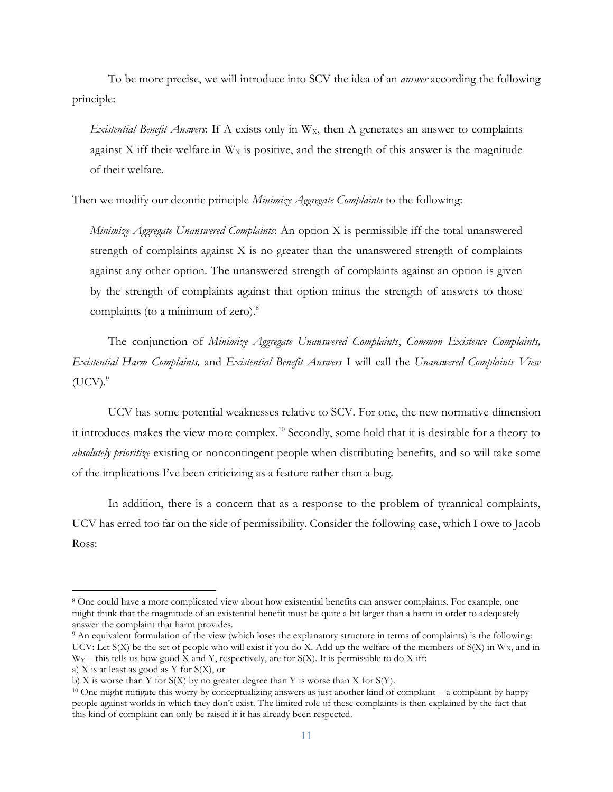To be more precise, we will introduce into SCV the idea of an *answer* according the following principle:

*Existential Benefit Answers*: If A exists only in W<sub>x</sub>, then A generates an answer to complaints against X iff their welfare in  $W_X$  is positive, and the strength of this answer is the magnitude of their welfare.

Then we modify our deontic principle *Minimize Aggregate Complaints* to the following:

*Minimize Aggregate Unanswered Complaints*: An option X is permissible iff the total unanswered strength of complaints against X is no greater than the unanswered strength of complaints against any other option. The unanswered strength of complaints against an option is given by the strength of complaints against that option minus the strength of answers to those complaints (to a minimum of zero).<sup>8</sup>

The conjunction of *Minimize Aggregate Unanswered Complaints*, *Common Existence Complaints, Existential Harm Complaints,* and *Existential Benefit Answers* I will call the *Unanswered Complaints View*   $(UCV).<sup>9</sup>$ 

UCV has some potential weaknesses relative to SCV. For one, the new normative dimension it introduces makes the view more complex.<sup>10</sup> Secondly, some hold that it is desirable for a theory to *absolutely prioritize* existing or noncontingent people when distributing benefits, and so will take some of the implications I've been criticizing as a feature rather than a bug.

In addition, there is a concern that as a response to the problem of tyrannical complaints, UCV has erred too far on the side of permissibility. Consider the following case, which I owe to Jacob Ross:

<sup>8</sup> One could have a more complicated view about how existential benefits can answer complaints. For example, one might think that the magnitude of an existential benefit must be quite a bit larger than a harm in order to adequately answer the complaint that harm provides.

<sup>9</sup> An equivalent formulation of the view (which loses the explanatory structure in terms of complaints) is the following: UCV: Let S(X) be the set of people who will exist if you do X. Add up the welfare of the members of S(X) in  $W_x$ , and in  $W_Y$  – this tells us how good  $\bar{X}$  and  $Y$ , respectively, are for S(X). It is permissible to do  $X$  iff:

a) X is at least as good as Y for S(X), or

b) X is worse than Y for  $S(X)$  by no greater degree than Y is worse than X for  $S(Y)$ .

<sup>10</sup> One might mitigate this worry by conceptualizing answers as just another kind of complaint – a complaint by happy people against worlds in which they don't exist. The limited role of these complaints is then explained by the fact that this kind of complaint can only be raised if it has already been respected.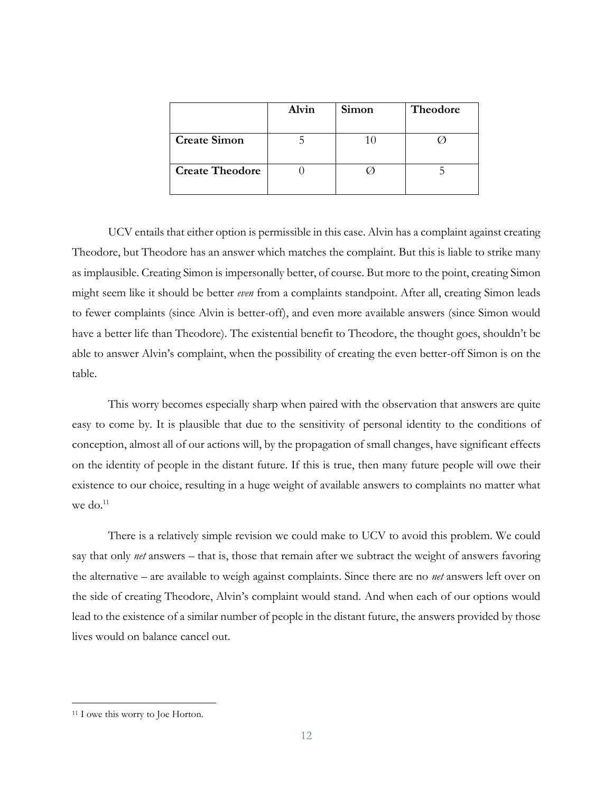|                        | Alvin | Simon | Theodore |
|------------------------|-------|-------|----------|
|                        |       |       |          |
| <b>Create Simon</b>    |       |       |          |
|                        |       |       |          |
| <b>Create Theodore</b> |       |       |          |
|                        |       |       |          |

UCV entails that either option is permissible in this case. Alvin has a complaint against creating Theodore, but Theodore has an answer which matches the complaint. But this is liable to strike many as implausible. Creating Simon is impersonally better, of course. But more to the point, creating Simon might seem like it should be better *even* from a complaints standpoint. After all, creating Simon leads to fewer complaints (since Alvin is better-off), and even more available answers (since Simon would have a better life than Theodore). The existential benefit to Theodore, the thought goes, shouldn't be able to answer Alvin's complaint, when the possibility of creating the even better-off Simon is on the table.

This worry becomes especially sharp when paired with the observation that answers are quite easy to come by. It is plausible that due to the sensitivity of personal identity to the conditions of conception, almost all of our actions will, by the propagation of small changes, have significant effects on the identity of people in the distant future. If this is true, then many future people will owe their existence to our choice, resulting in a huge weight of available answers to complaints no matter what we do.<sup>11</sup>

There is a relatively simple revision we could make to UCV to avoid this problem. We could say that only *net* answers – that is, those that remain after we subtract the weight of answers favoring the alternative – are available to weigh against complaints. Since there are no *net* answers left over on the side of creating Theodore, Alvin's complaint would stand. And when each of our options would lead to the existence of a similar number of people in the distant future, the answers provided by those lives would on balance cancel out.

<sup>&</sup>lt;sup>11</sup> I owe this worry to Joe Horton.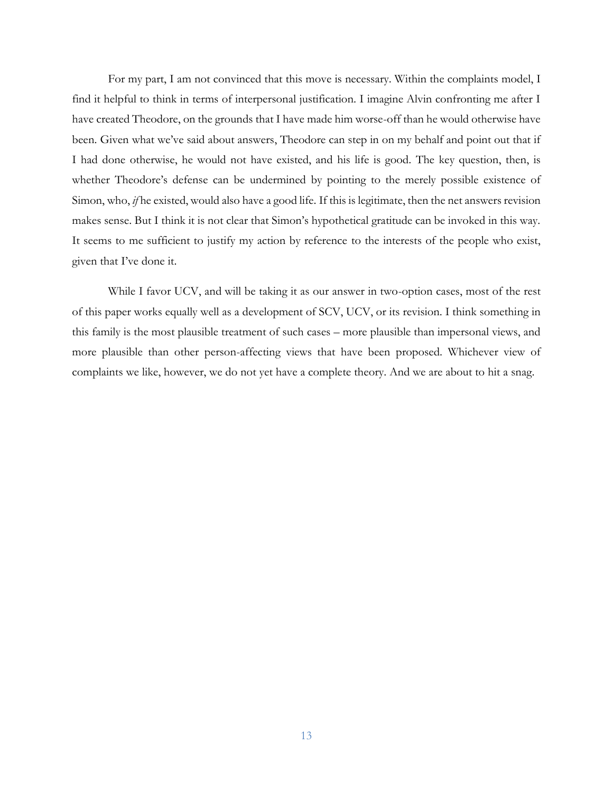For my part, I am not convinced that this move is necessary. Within the complaints model, I find it helpful to think in terms of interpersonal justification. I imagine Alvin confronting me after I have created Theodore, on the grounds that I have made him worse-off than he would otherwise have been. Given what we've said about answers, Theodore can step in on my behalf and point out that if I had done otherwise, he would not have existed, and his life is good. The key question, then, is whether Theodore's defense can be undermined by pointing to the merely possible existence of Simon, who, *if* he existed, would also have a good life. If this is legitimate, then the net answers revision makes sense. But I think it is not clear that Simon's hypothetical gratitude can be invoked in this way. It seems to me sufficient to justify my action by reference to the interests of the people who exist, given that I've done it.

While I favor UCV, and will be taking it as our answer in two-option cases, most of the rest of this paper works equally well as a development of SCV, UCV, or its revision. I think something in this family is the most plausible treatment of such cases – more plausible than impersonal views, and more plausible than other person-affecting views that have been proposed. Whichever view of complaints we like, however, we do not yet have a complete theory. And we are about to hit a snag.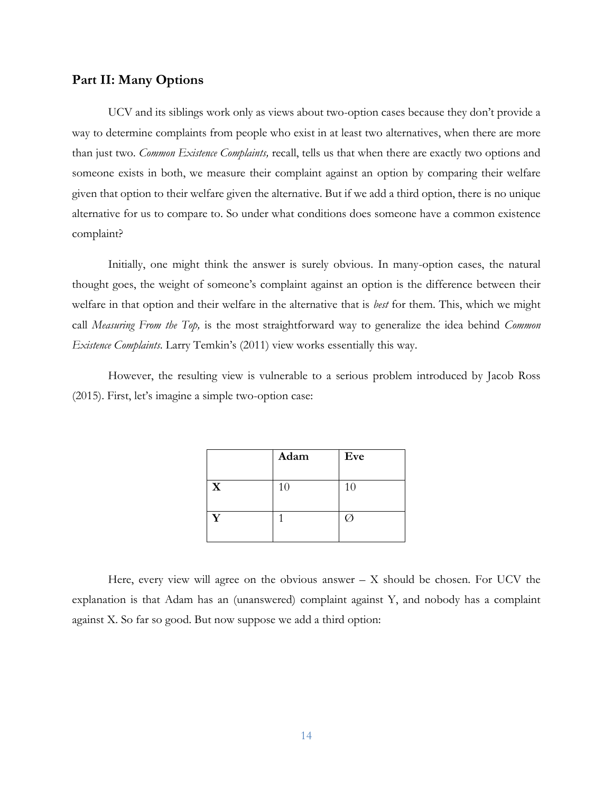### **Part II: Many Options**

UCV and its siblings work only as views about two-option cases because they don't provide a way to determine complaints from people who exist in at least two alternatives, when there are more than just two. *Common Existence Complaints,* recall, tells us that when there are exactly two options and someone exists in both, we measure their complaint against an option by comparing their welfare given that option to their welfare given the alternative. But if we add a third option, there is no unique alternative for us to compare to. So under what conditions does someone have a common existence complaint?

Initially, one might think the answer is surely obvious. In many-option cases, the natural thought goes, the weight of someone's complaint against an option is the difference between their welfare in that option and their welfare in the alternative that is *best* for them. This, which we might call *Measuring From the Top,* is the most straightforward way to generalize the idea behind *Common Existence Complaints*. Larry Temkin's (2011) view works essentially this way.

However, the resulting view is vulnerable to a serious problem introduced by Jacob Ross (2015). First, let's imagine a simple two-option case:

|                         | Adam | Eve |
|-------------------------|------|-----|
|                         |      |     |
| $\overline{\mathbf{X}}$ | 10   | 10  |
|                         |      |     |
| v                       |      |     |
|                         |      |     |

Here, every view will agree on the obvious answer  $- X$  should be chosen. For UCV the explanation is that Adam has an (unanswered) complaint against Y, and nobody has a complaint against X. So far so good. But now suppose we add a third option: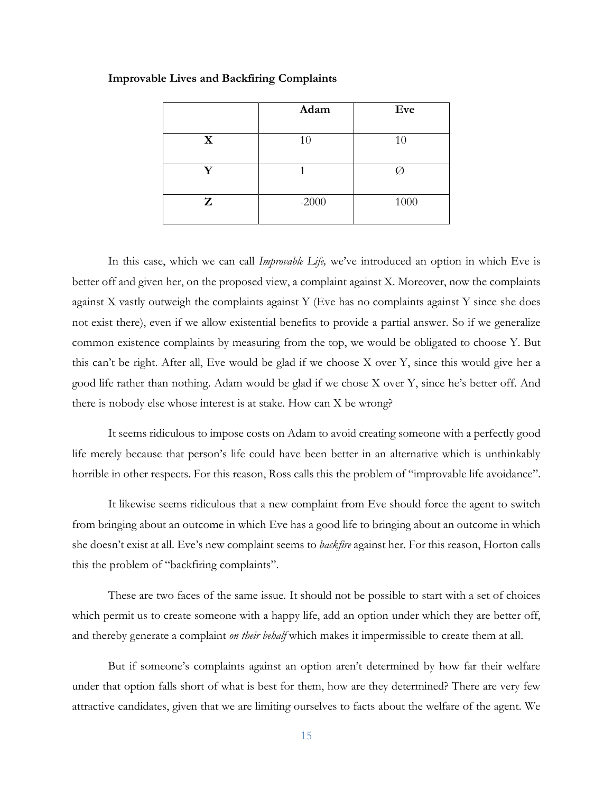|   | Adam    | Eve  |
|---|---------|------|
| X | 10      | 10   |
| V |         |      |
| Z | $-2000$ | 1000 |

#### **Improvable Lives and Backfiring Complaints**

In this case, which we can call *Improvable Life,* we've introduced an option in which Eve is better off and given her, on the proposed view, a complaint against X. Moreover, now the complaints against X vastly outweigh the complaints against Y (Eve has no complaints against Y since she does not exist there), even if we allow existential benefits to provide a partial answer. So if we generalize common existence complaints by measuring from the top, we would be obligated to choose Y. But this can't be right. After all, Eve would be glad if we choose X over Y, since this would give her a good life rather than nothing. Adam would be glad if we chose X over Y, since he's better off. And there is nobody else whose interest is at stake. How can X be wrong?

It seems ridiculous to impose costs on Adam to avoid creating someone with a perfectly good life merely because that person's life could have been better in an alternative which is unthinkably horrible in other respects. For this reason, Ross calls this the problem of "improvable life avoidance".

It likewise seems ridiculous that a new complaint from Eve should force the agent to switch from bringing about an outcome in which Eve has a good life to bringing about an outcome in which she doesn't exist at all. Eve's new complaint seems to *backfire* against her. For this reason, Horton calls this the problem of "backfiring complaints".

These are two faces of the same issue. It should not be possible to start with a set of choices which permit us to create someone with a happy life, add an option under which they are better off, and thereby generate a complaint *on their behalf* which makes it impermissible to create them at all.

But if someone's complaints against an option aren't determined by how far their welfare under that option falls short of what is best for them, how are they determined? There are very few attractive candidates, given that we are limiting ourselves to facts about the welfare of the agent. We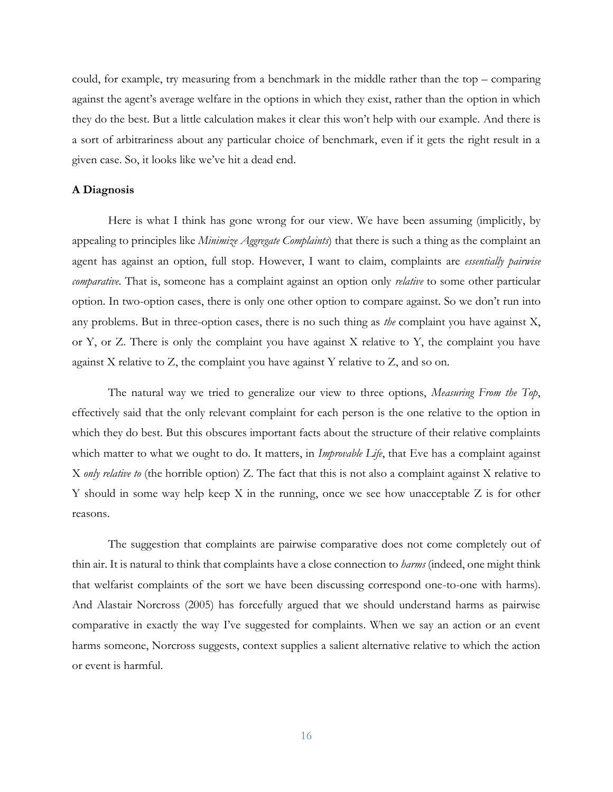could, for example, try measuring from a benchmark in the middle rather than the top – comparing against the agent's average welfare in the options in which they exist, rather than the option in which they do the best. But a little calculation makes it clear this won't help with our example. And there is a sort of arbitrariness about any particular choice of benchmark, even if it gets the right result in a given case. So, it looks like we've hit a dead end.

#### **A Diagnosis**

Here is what I think has gone wrong for our view. We have been assuming (implicitly, by appealing to principles like *Minimize Aggregate Complaints*) that there is such a thing as the complaint an agent has against an option, full stop. However, I want to claim, complaints are *essentially pairwise comparative.* That is, someone has a complaint against an option only *relative* to some other particular option. In two-option cases, there is only one other option to compare against. So we don't run into any problems. But in three-option cases, there is no such thing as *the* complaint you have against X, or Y, or Z. There is only the complaint you have against X relative to Y, the complaint you have against X relative to Z, the complaint you have against Y relative to Z, and so on.

The natural way we tried to generalize our view to three options, *Measuring From the Top*, effectively said that the only relevant complaint for each person is the one relative to the option in which they do best. But this obscures important facts about the structure of their relative complaints which matter to what we ought to do. It matters, in *Improvable Life*, that Eve has a complaint against X *only relative to* (the horrible option) Z. The fact that this is not also a complaint against X relative to Y should in some way help keep X in the running, once we see how unacceptable Z is for other reasons.

The suggestion that complaints are pairwise comparative does not come completely out of thin air. It is natural to think that complaints have a close connection to *harms* (indeed, one might think that welfarist complaints of the sort we have been discussing correspond one-to-one with harms). And Alastair Norcross (2005) has forcefully argued that we should understand harms as pairwise comparative in exactly the way I've suggested for complaints. When we say an action or an event harms someone, Norcross suggests, context supplies a salient alternative relative to which the action or event is harmful.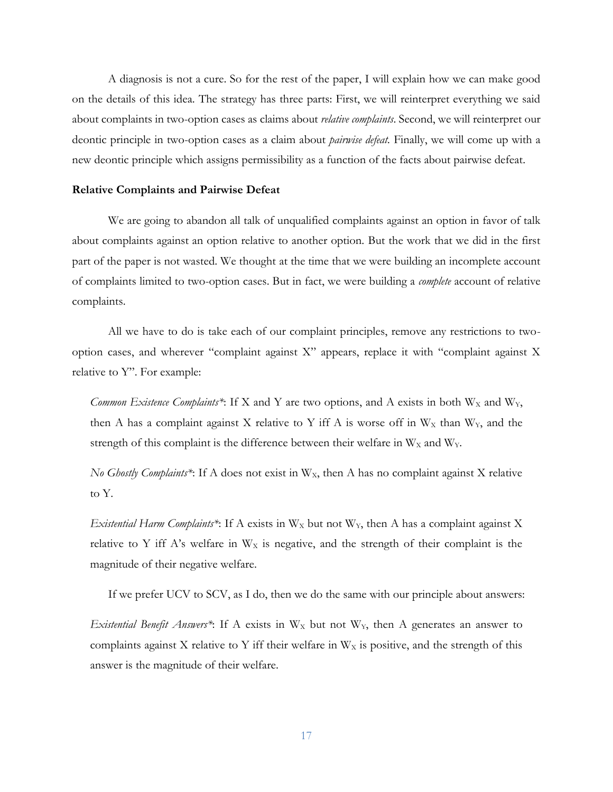A diagnosis is not a cure. So for the rest of the paper, I will explain how we can make good on the details of this idea. The strategy has three parts: First, we will reinterpret everything we said about complaints in two-option cases as claims about *relative complaints*. Second, we will reinterpret our deontic principle in two-option cases as a claim about *pairwise defeat.* Finally, we will come up with a new deontic principle which assigns permissibility as a function of the facts about pairwise defeat.

#### **Relative Complaints and Pairwise Defeat**

We are going to abandon all talk of unqualified complaints against an option in favor of talk about complaints against an option relative to another option. But the work that we did in the first part of the paper is not wasted. We thought at the time that we were building an incomplete account of complaints limited to two-option cases. But in fact, we were building a *complete* account of relative complaints.

All we have to do is take each of our complaint principles, remove any restrictions to twooption cases, and wherever "complaint against X" appears, replace it with "complaint against X relative to Y". For example:

*Common Existence Complaints\**: If X and Y are two options, and A exists in both  $W_X$  and  $W_Y$ , then A has a complaint against X relative to Y iff A is worse off in  $W_X$  than  $W_Y$ , and the strength of this complaint is the difference between their welfare in  $W_X$  and  $W_Y$ .

*No Ghostly Complaints\**: If A does not exist in  $W_x$ , then A has no complaint against X relative to Y.

*Existential Harm Complaints\**: If A exists in  $W_X$  but not  $W_Y$ , then A has a complaint against X relative to Y iff A's welfare in  $W_X$  is negative, and the strength of their complaint is the magnitude of their negative welfare.

If we prefer UCV to SCV, as I do, then we do the same with our principle about answers:

*Existential Benefit Answers\**: If A exists in W<sub>X</sub> but not W<sub>Y</sub>, then A generates an answer to complaints against X relative to Y iff their welfare in  $W_X$  is positive, and the strength of this answer is the magnitude of their welfare.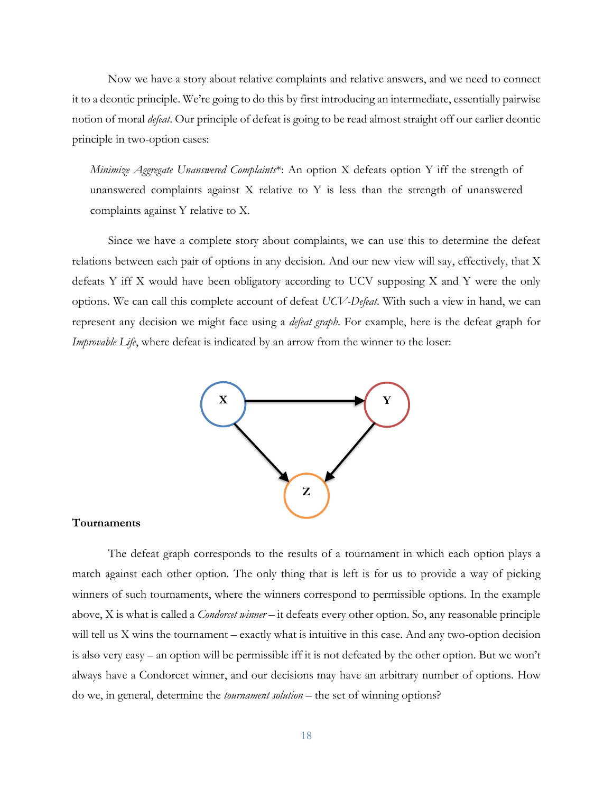Now we have a story about relative complaints and relative answers, and we need to connect it to a deontic principle. We're going to do this by first introducing an intermediate, essentially pairwise notion of moral *defeat*. Our principle of defeat is going to be read almost straight off our earlier deontic principle in two-option cases:

*Minimize Aggregate Unanswered Complaints*\*: An option X defeats option Y iff the strength of unanswered complaints against  $X$  relative to  $Y$  is less than the strength of unanswered complaints against Y relative to X.

Since we have a complete story about complaints, we can use this to determine the defeat relations between each pair of options in any decision. And our new view will say, effectively, that X defeats Y iff X would have been obligatory according to UCV supposing X and Y were the only options. We can call this complete account of defeat *UCV-Defeat*. With such a view in hand, we can represent any decision we might face using a *defeat graph*. For example, here is the defeat graph for *Improvable Life*, where defeat is indicated by an arrow from the winner to the loser:



#### **Tournaments**

The defeat graph corresponds to the results of a tournament in which each option plays a match against each other option. The only thing that is left is for us to provide a way of picking winners of such tournaments, where the winners correspond to permissible options. In the example above, X is what is called a *Condorcet winner* – it defeats every other option. So, any reasonable principle will tell us X wins the tournament – exactly what is intuitive in this case. And any two-option decision is also very easy – an option will be permissible iff it is not defeated by the other option. But we won't always have a Condorcet winner, and our decisions may have an arbitrary number of options. How do we, in general, determine the *tournament solution* – the set of winning options?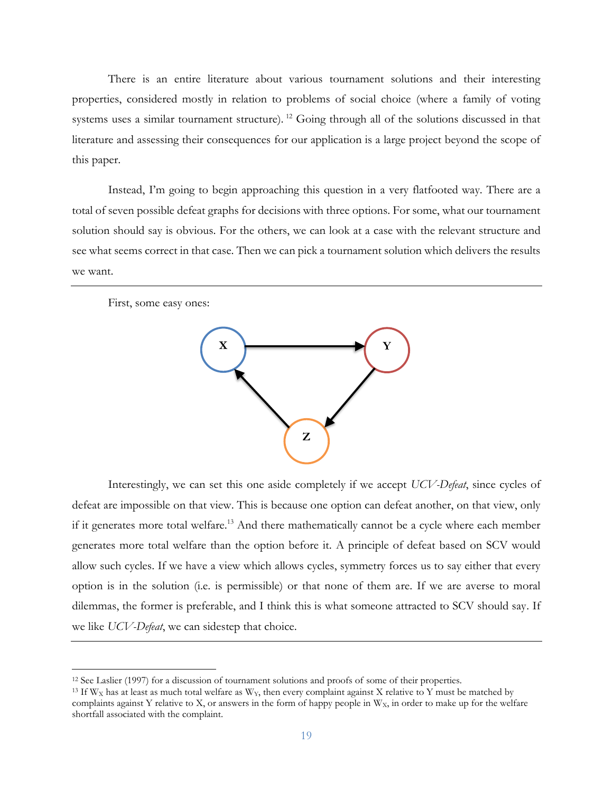There is an entire literature about various tournament solutions and their interesting properties, considered mostly in relation to problems of social choice (where a family of voting systems uses a similar tournament structure). <sup>12</sup> Going through all of the solutions discussed in that literature and assessing their consequences for our application is a large project beyond the scope of this paper.

Instead, I'm going to begin approaching this question in a very flatfooted way. There are a total of seven possible defeat graphs for decisions with three options. For some, what our tournament solution should say is obvious. For the others, we can look at a case with the relevant structure and see what seems correct in that case. Then we can pick a tournament solution which delivers the results we want.



Interestingly, we can set this one aside completely if we accept *UCV-Defeat*, since cycles of defeat are impossible on that view. This is because one option can defeat another, on that view, only if it generates more total welfare.<sup>13</sup> And there mathematically cannot be a cycle where each member generates more total welfare than the option before it. A principle of defeat based on SCV would allow such cycles. If we have a view which allows cycles, symmetry forces us to say either that every option is in the solution (i.e. is permissible) or that none of them are. If we are averse to moral dilemmas, the former is preferable, and I think this is what someone attracted to SCV should say. If we like *UCV-Defeat*, we can sidestep that choice.

<sup>12</sup> See Laslier (1997) for a discussion of tournament solutions and proofs of some of their properties.

<sup>&</sup>lt;sup>13</sup> If  $W_X$  has at least as much total welfare as  $W_Y$ , then every complaint against X relative to Y must be matched by complaints against Y relative to X, or answers in the form of happy people in  $W<sub>X</sub>$ , in order to make up for the welfare shortfall associated with the complaint.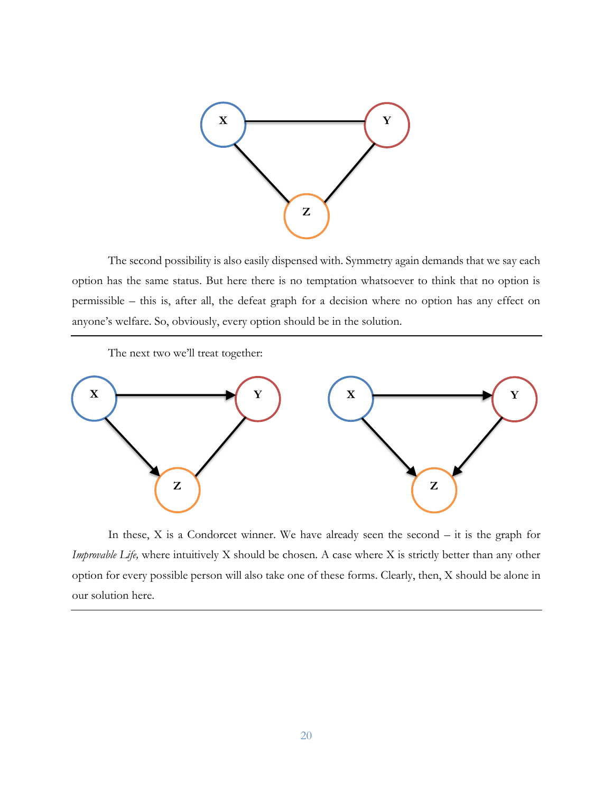

The second possibility is also easily dispensed with. Symmetry again demands that we say each option has the same status. But here there is no temptation whatsoever to think that no option is permissible – this is, after all, the defeat graph for a decision where no option has any effect on anyone's welfare. So, obviously, every option should be in the solution.

The next two we'll treat together:



In these,  $X$  is a Condorcet winner. We have already seen the second  $-$  it is the graph for *Improvable Life,* where intuitively X should be chosen. A case where X is strictly better than any other option for every possible person will also take one of these forms. Clearly, then, X should be alone in our solution here.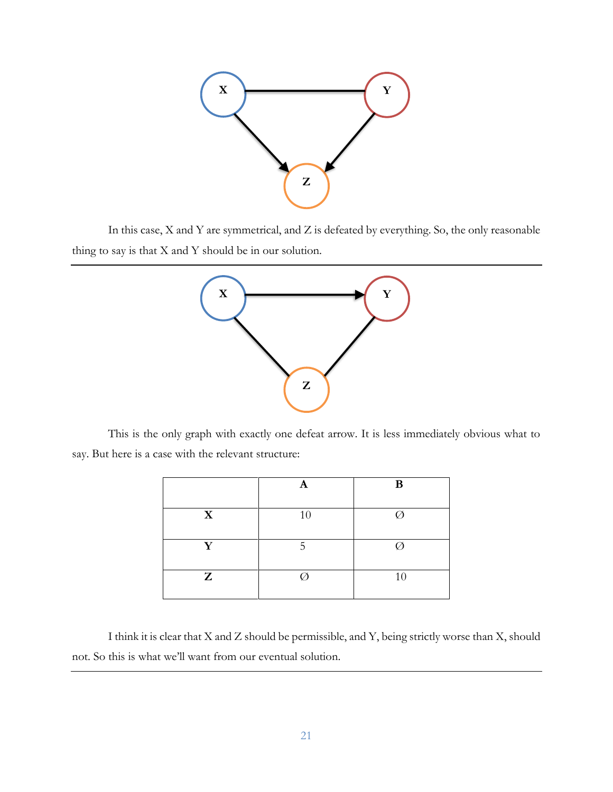

In this case, X and Y are symmetrical, and Z is defeated by everything. So, the only reasonable thing to say is that X and Y should be in our solution.



This is the only graph with exactly one defeat arrow. It is less immediately obvious what to say. But here is a case with the relevant structure:

|             |    | B  |
|-------------|----|----|
| $\mathbf X$ | 10 | Ø  |
| Y           | ц  | Ø  |
| Z           |    | 10 |

I think it is clear that X and Z should be permissible, and Y, being strictly worse than X, should not. So this is what we'll want from our eventual solution.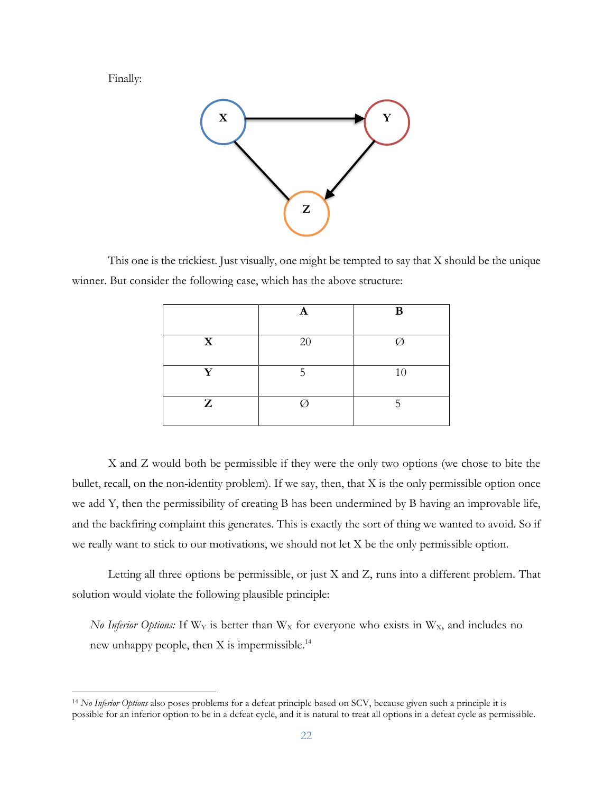Finally:



This one is the trickiest. Just visually, one might be tempted to say that X should be the unique winner. But consider the following case, which has the above structure:

|             | A  | B  |
|-------------|----|----|
| $\mathbf X$ | 20 |    |
| Y           | Д  | 10 |
| Z           |    | 5  |

X and Z would both be permissible if they were the only two options (we chose to bite the bullet, recall, on the non-identity problem). If we say, then, that X is the only permissible option once we add Y, then the permissibility of creating B has been undermined by B having an improvable life, and the backfiring complaint this generates. This is exactly the sort of thing we wanted to avoid. So if we really want to stick to our motivations, we should not let X be the only permissible option.

Letting all three options be permissible, or just X and Z, runs into a different problem. That solution would violate the following plausible principle:

*No Inferior Options:* If  $W_Y$  is better than  $W_X$  for everyone who exists in  $W_X$ , and includes no new unhappy people, then X is impermissible.<sup>14</sup>

<sup>14</sup> *No Inferior Options* also poses problems for a defeat principle based on SCV, because given such a principle it is possible for an inferior option to be in a defeat cycle, and it is natural to treat all options in a defeat cycle as permissible.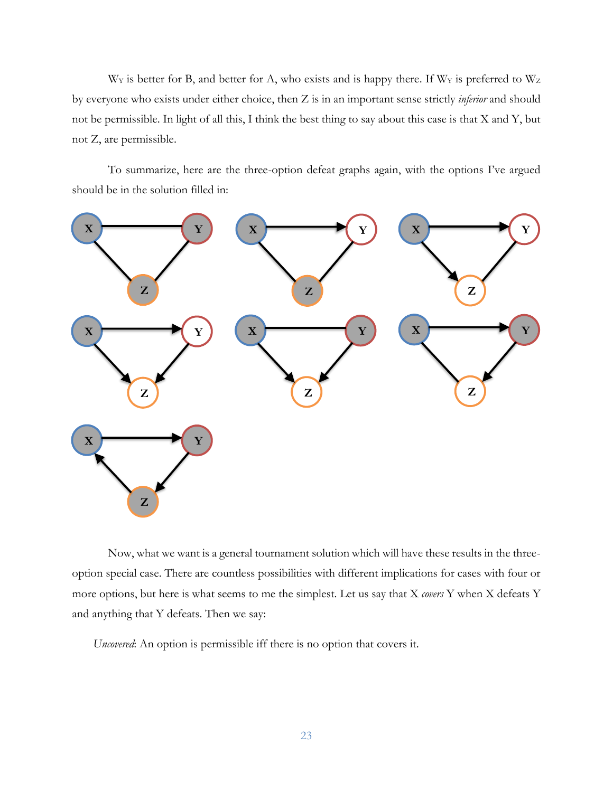$W_Y$  is better for B, and better for A, who exists and is happy there. If  $W_Y$  is preferred to  $W_Z$ by everyone who exists under either choice, then Z is in an important sense strictly *inferior* and should not be permissible. In light of all this, I think the best thing to say about this case is that X and Y, but not Z, are permissible.

To summarize, here are the three-option defeat graphs again, with the options I've argued should be in the solution filled in:



Now, what we want is a general tournament solution which will have these results in the threeoption special case. There are countless possibilities with different implications for cases with four or more options, but here is what seems to me the simplest. Let us say that X *covers* Y when X defeats Y and anything that Y defeats. Then we say:

*Uncovered*: An option is permissible iff there is no option that covers it.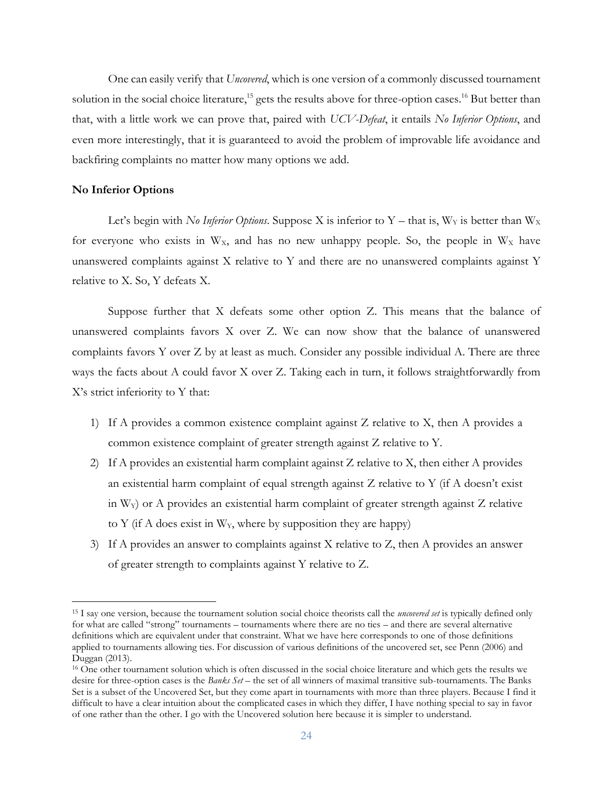One can easily verify that *Uncovered*, which is one version of a commonly discussed tournament solution in the social choice literature,<sup>15</sup> gets the results above for three-option cases.<sup>16</sup> But better than that, with a little work we can prove that, paired with *UCV-Defeat*, it entails *No Inferior Options*, and even more interestingly, that it is guaranteed to avoid the problem of improvable life avoidance and backfiring complaints no matter how many options we add.

#### **No Inferior Options**

Let's begin with *No Inferior Options*. Suppose X is inferior to Y – that is,  $W_Y$  is better than  $W_X$ for everyone who exists in  $W_x$ , and has no new unhappy people. So, the people in  $W_x$  have unanswered complaints against X relative to Y and there are no unanswered complaints against Y relative to X. So, Y defeats X.

Suppose further that X defeats some other option Z. This means that the balance of unanswered complaints favors X over Z. We can now show that the balance of unanswered complaints favors Y over Z by at least as much. Consider any possible individual A. There are three ways the facts about A could favor X over Z. Taking each in turn, it follows straightforwardly from X's strict inferiority to Y that:

- 1) If A provides a common existence complaint against Z relative to X, then A provides a common existence complaint of greater strength against Z relative to Y.
- 2) If A provides an existential harm complaint against Z relative to X, then either A provides an existential harm complaint of equal strength against Z relative to Y (if A doesn't exist in  $W_Y$ ) or A provides an existential harm complaint of greater strength against  $Z$  relative to Y (if A does exist in  $W_Y$ , where by supposition they are happy)
- 3) If A provides an answer to complaints against X relative to Z, then A provides an answer of greater strength to complaints against Y relative to Z.

<sup>15</sup> I say one version, because the tournament solution social choice theorists call the *uncovered set* is typically defined only for what are called "strong" tournaments – tournaments where there are no ties – and there are several alternative definitions which are equivalent under that constraint. What we have here corresponds to one of those definitions applied to tournaments allowing ties. For discussion of various definitions of the uncovered set, see Penn (2006) and Duggan (2013).

<sup>16</sup> One other tournament solution which is often discussed in the social choice literature and which gets the results we desire for three-option cases is the *Banks Set* – the set of all winners of maximal transitive sub-tournaments. The Banks Set is a subset of the Uncovered Set, but they come apart in tournaments with more than three players. Because I find it difficult to have a clear intuition about the complicated cases in which they differ, I have nothing special to say in favor of one rather than the other. I go with the Uncovered solution here because it is simpler to understand.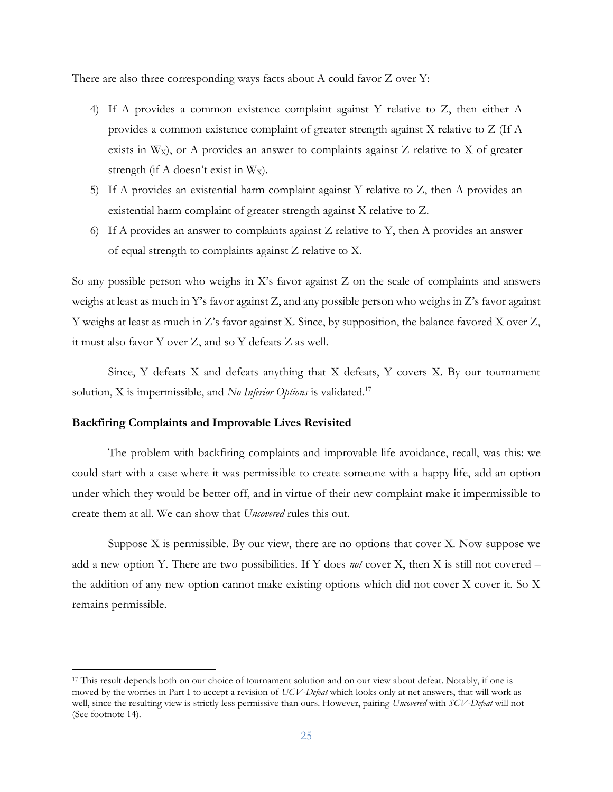There are also three corresponding ways facts about A could favor Z over Y:

- 4) If A provides a common existence complaint against Y relative to Z, then either A provides a common existence complaint of greater strength against X relative to Z (If A exists in  $W_x$ ), or A provides an answer to complaints against  $Z$  relative to  $X$  of greater strength (if A doesn't exist in  $W_X$ ).
- 5) If A provides an existential harm complaint against Y relative to Z, then A provides an existential harm complaint of greater strength against X relative to Z.
- 6) If A provides an answer to complaints against Z relative to Y, then A provides an answer of equal strength to complaints against Z relative to X.

So any possible person who weighs in X's favor against Z on the scale of complaints and answers weighs at least as much in Y's favor against Z, and any possible person who weighs in Z's favor against Y weighs at least as much in Z's favor against X. Since, by supposition, the balance favored X over Z, it must also favor Y over Z, and so Y defeats Z as well.

Since, Y defeats X and defeats anything that X defeats, Y covers X. By our tournament solution, X is impermissible, and *No Inferior Options* is validated.<sup>17</sup>

#### **Backfiring Complaints and Improvable Lives Revisited**

The problem with backfiring complaints and improvable life avoidance, recall, was this: we could start with a case where it was permissible to create someone with a happy life, add an option under which they would be better off, and in virtue of their new complaint make it impermissible to create them at all. We can show that *Uncovered* rules this out.

Suppose  $X$  is permissible. By our view, there are no options that cover  $X$ . Now suppose we add a new option Y. There are two possibilities. If Y does *not* cover X, then X is still not covered – the addition of any new option cannot make existing options which did not cover X cover it. So X remains permissible.

<sup>17</sup> This result depends both on our choice of tournament solution and on our view about defeat. Notably, if one is moved by the worries in Part I to accept a revision of *UCV-Defeat* which looks only at net answers, that will work as well, since the resulting view is strictly less permissive than ours. However, pairing *Uncovered* with *SCV-Defeat* will not (See footnote 14).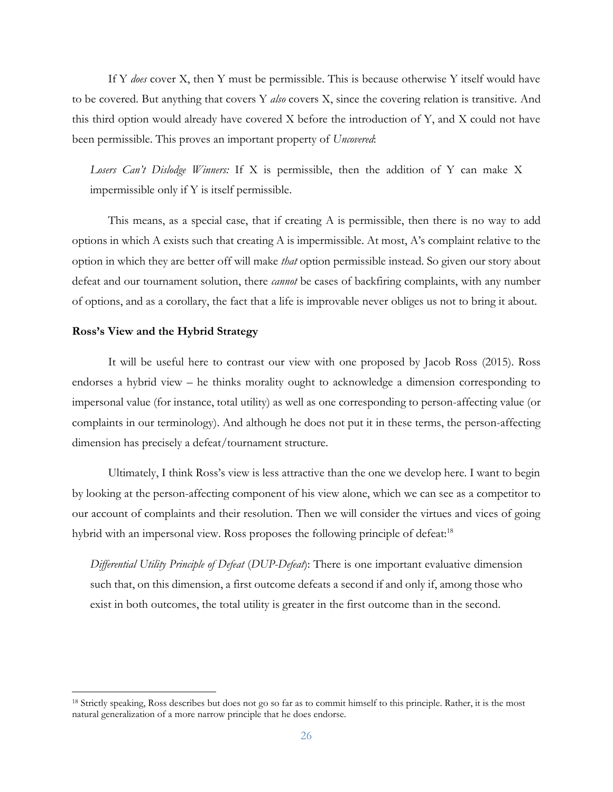If Y *does* cover X, then Y must be permissible. This is because otherwise Y itself would have to be covered. But anything that covers Y *also* covers X, since the covering relation is transitive. And this third option would already have covered X before the introduction of Y, and X could not have been permissible. This proves an important property of *Uncovered*:

*Losers Can't Dislodge Winners:* If X is permissible, then the addition of Y can make X impermissible only if Y is itself permissible.

This means, as a special case, that if creating A is permissible, then there is no way to add options in which A exists such that creating A is impermissible. At most, A's complaint relative to the option in which they are better off will make *that* option permissible instead. So given our story about defeat and our tournament solution, there *cannot* be cases of backfiring complaints, with any number of options, and as a corollary, the fact that a life is improvable never obliges us not to bring it about.

#### **Ross's View and the Hybrid Strategy**

It will be useful here to contrast our view with one proposed by Jacob Ross (2015). Ross endorses a hybrid view – he thinks morality ought to acknowledge a dimension corresponding to impersonal value (for instance, total utility) as well as one corresponding to person-affecting value (or complaints in our terminology). And although he does not put it in these terms, the person-affecting dimension has precisely a defeat/tournament structure.

Ultimately, I think Ross's view is less attractive than the one we develop here. I want to begin by looking at the person-affecting component of his view alone, which we can see as a competitor to our account of complaints and their resolution. Then we will consider the virtues and vices of going hybrid with an impersonal view. Ross proposes the following principle of defeat:<sup>18</sup>

*Differential Utility Principle of Defeat* (*DUP-Defeat*): There is one important evaluative dimension such that, on this dimension, a first outcome defeats a second if and only if, among those who exist in both outcomes, the total utility is greater in the first outcome than in the second.

<sup>18</sup> Strictly speaking, Ross describes but does not go so far as to commit himself to this principle. Rather, it is the most natural generalization of a more narrow principle that he does endorse.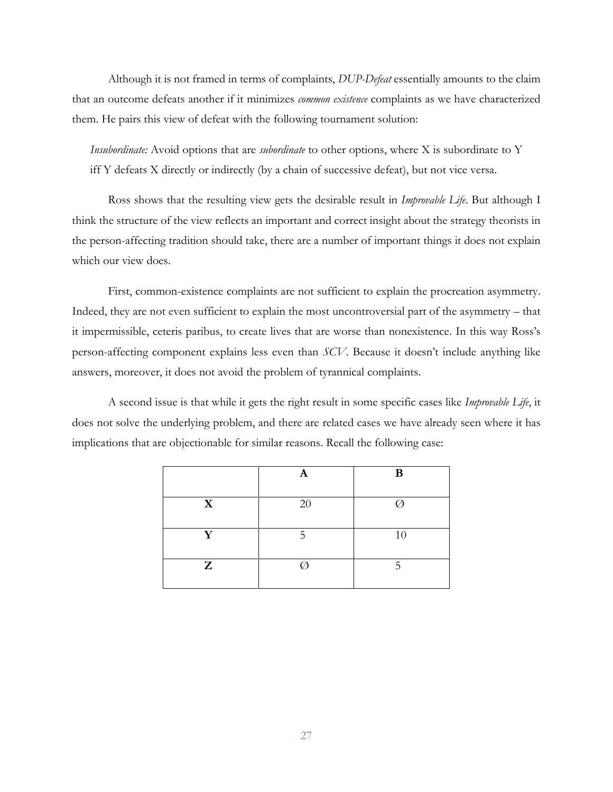Although it is not framed in terms of complaints, *DUP-Defeat* essentially amounts to the claim that an outcome defeats another if it minimizes *common existence* complaints as we have characterized them. He pairs this view of defeat with the following tournament solution:

*Insubordinate:* Avoid options that are *subordinate* to other options, where X is subordinate to Y iff Y defeats X directly or indirectly (by a chain of successive defeat), but not vice versa.

Ross shows that the resulting view gets the desirable result in *Improvable Life*. But although I think the structure of the view reflects an important and correct insight about the strategy theorists in the person-affecting tradition should take, there are a number of important things it does not explain which our view does.

First, common-existence complaints are not sufficient to explain the procreation asymmetry. Indeed, they are not even sufficient to explain the most uncontroversial part of the asymmetry – that it impermissible, ceteris paribus, to create lives that are worse than nonexistence. In this way Ross's person-affecting component explains less even than *SCV*. Because it doesn't include anything like answers, moreover, it does not avoid the problem of tyrannical complaints.

A second issue is that while it gets the right result in some specific cases like *Improvable Life*, it does not solve the underlying problem, and there are related cases we have already seen where it has implications that are objectionable for similar reasons. Recall the following case:

|             | A  | B  |
|-------------|----|----|
| $\mathbf X$ | 20 |    |
| Y           | ц  | 10 |
| Z           |    |    |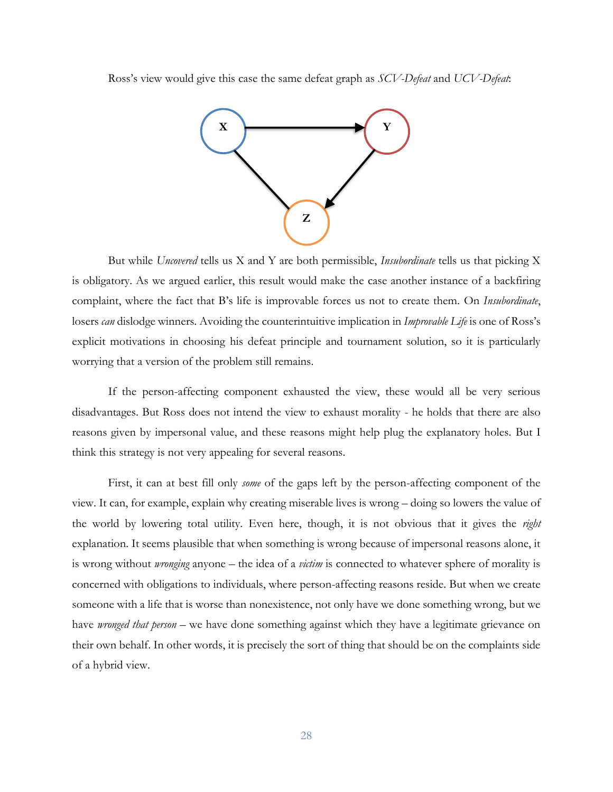Ross's view would give this case the same defeat graph as *SCV-Defeat* and *UCV-Defeat*:



But while *Uncovered* tells us X and Y are both permissible, *Insubordinate* tells us that picking X is obligatory. As we argued earlier, this result would make the case another instance of a backfiring complaint, where the fact that B's life is improvable forces us not to create them. On *Insubordinate*, losers *can* dislodge winners. Avoiding the counterintuitive implication in *Improvable Life* is one of Ross's explicit motivations in choosing his defeat principle and tournament solution, so it is particularly worrying that a version of the problem still remains.

If the person-affecting component exhausted the view, these would all be very serious disadvantages. But Ross does not intend the view to exhaust morality - he holds that there are also reasons given by impersonal value, and these reasons might help plug the explanatory holes. But I think this strategy is not very appealing for several reasons.

First, it can at best fill only *some* of the gaps left by the person-affecting component of the view. It can, for example, explain why creating miserable lives is wrong – doing so lowers the value of the world by lowering total utility. Even here, though, it is not obvious that it gives the *right*  explanation. It seems plausible that when something is wrong because of impersonal reasons alone, it is wrong without *wronging* anyone – the idea of a *victim* is connected to whatever sphere of morality is concerned with obligations to individuals, where person-affecting reasons reside. But when we create someone with a life that is worse than nonexistence, not only have we done something wrong, but we have *wronged that person* – we have done something against which they have a legitimate grievance on their own behalf. In other words, it is precisely the sort of thing that should be on the complaints side of a hybrid view.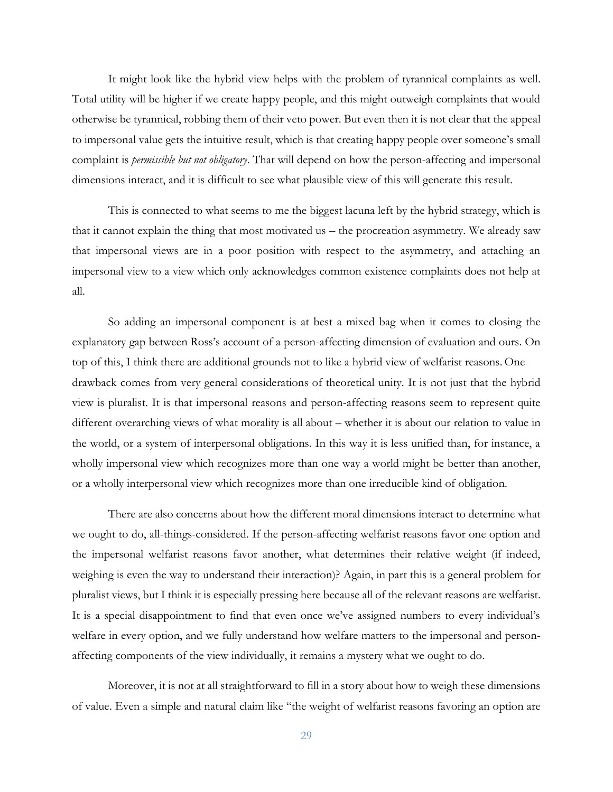It might look like the hybrid view helps with the problem of tyrannical complaints as well. Total utility will be higher if we create happy people, and this might outweigh complaints that would otherwise be tyrannical, robbing them of their veto power. But even then it is not clear that the appeal to impersonal value gets the intuitive result, which is that creating happy people over someone's small complaint is *permissible but not obligatory*. That will depend on how the person-affecting and impersonal dimensions interact, and it is difficult to see what plausible view of this will generate this result.

This is connected to what seems to me the biggest lacuna left by the hybrid strategy, which is that it cannot explain the thing that most motivated us – the procreation asymmetry. We already saw that impersonal views are in a poor position with respect to the asymmetry, and attaching an impersonal view to a view which only acknowledges common existence complaints does not help at all.

So adding an impersonal component is at best a mixed bag when it comes to closing the explanatory gap between Ross's account of a person-affecting dimension of evaluation and ours. On top of this, I think there are additional grounds not to like a hybrid view of welfarist reasons. One drawback comes from very general considerations of theoretical unity. It is not just that the hybrid view is pluralist. It is that impersonal reasons and person-affecting reasons seem to represent quite different overarching views of what morality is all about – whether it is about our relation to value in the world, or a system of interpersonal obligations. In this way it is less unified than, for instance, a wholly impersonal view which recognizes more than one way a world might be better than another, or a wholly interpersonal view which recognizes more than one irreducible kind of obligation.

There are also concerns about how the different moral dimensions interact to determine what we ought to do, all-things-considered. If the person-affecting welfarist reasons favor one option and the impersonal welfarist reasons favor another, what determines their relative weight (if indeed, weighing is even the way to understand their interaction)? Again, in part this is a general problem for pluralist views, but I think it is especially pressing here because all of the relevant reasons are welfarist. It is a special disappointment to find that even once we've assigned numbers to every individual's welfare in every option, and we fully understand how welfare matters to the impersonal and personaffecting components of the view individually, it remains a mystery what we ought to do.

Moreover, it is not at all straightforward to fill in a story about how to weigh these dimensions of value. Even a simple and natural claim like "the weight of welfarist reasons favoring an option are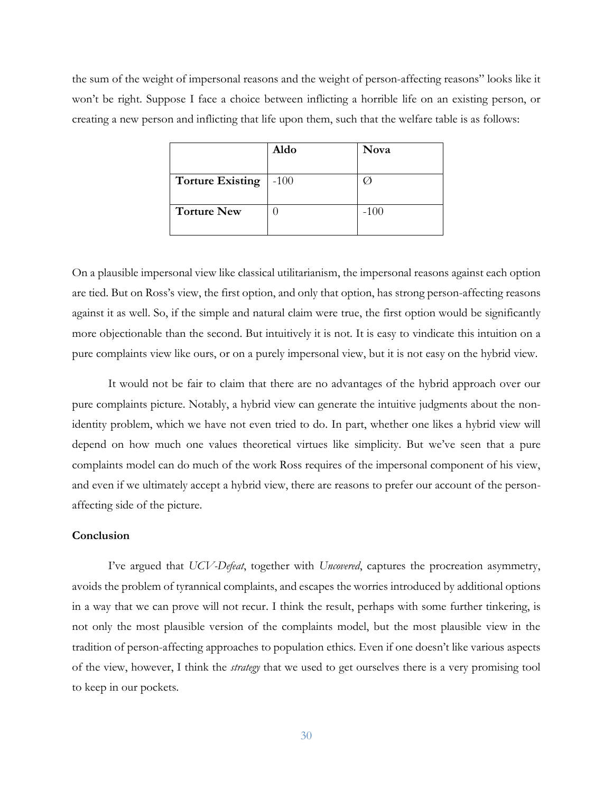the sum of the weight of impersonal reasons and the weight of person-affecting reasons" looks like it won't be right. Suppose I face a choice between inflicting a horrible life on an existing person, or creating a new person and inflicting that life upon them, such that the welfare table is as follows:

|                         | Aldo   | Nova   |
|-------------------------|--------|--------|
| <b>Torture Existing</b> | $-100$ |        |
| <b>Torture New</b>      |        | $-100$ |

On a plausible impersonal view like classical utilitarianism, the impersonal reasons against each option are tied. But on Ross's view, the first option, and only that option, has strong person-affecting reasons against it as well. So, if the simple and natural claim were true, the first option would be significantly more objectionable than the second. But intuitively it is not. It is easy to vindicate this intuition on a pure complaints view like ours, or on a purely impersonal view, but it is not easy on the hybrid view.

It would not be fair to claim that there are no advantages of the hybrid approach over our pure complaints picture. Notably, a hybrid view can generate the intuitive judgments about the nonidentity problem, which we have not even tried to do. In part, whether one likes a hybrid view will depend on how much one values theoretical virtues like simplicity. But we've seen that a pure complaints model can do much of the work Ross requires of the impersonal component of his view, and even if we ultimately accept a hybrid view, there are reasons to prefer our account of the personaffecting side of the picture.

#### **Conclusion**

I've argued that *UCV-Defeat*, together with *Uncovered*, captures the procreation asymmetry, avoids the problem of tyrannical complaints, and escapes the worries introduced by additional options in a way that we can prove will not recur. I think the result, perhaps with some further tinkering, is not only the most plausible version of the complaints model, but the most plausible view in the tradition of person-affecting approaches to population ethics. Even if one doesn't like various aspects of the view, however, I think the *strategy* that we used to get ourselves there is a very promising tool to keep in our pockets.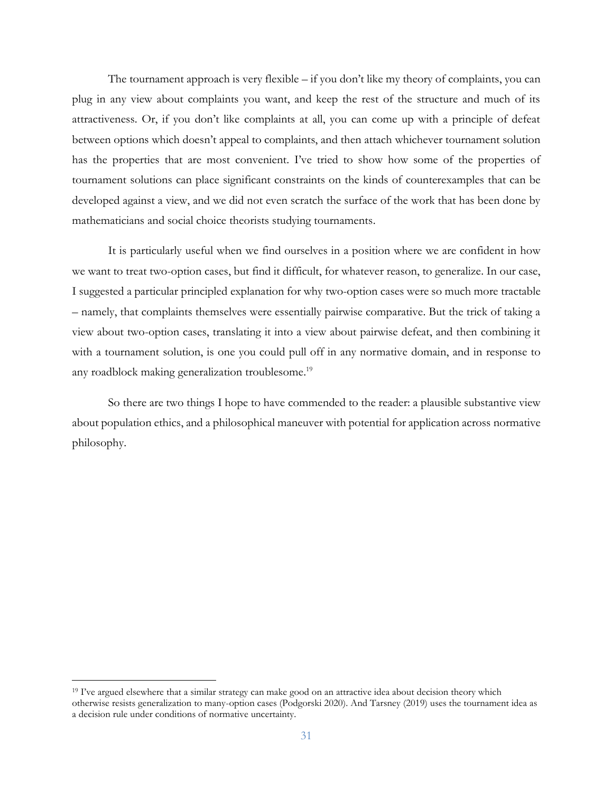The tournament approach is very flexible – if you don't like my theory of complaints, you can plug in any view about complaints you want, and keep the rest of the structure and much of its attractiveness. Or, if you don't like complaints at all, you can come up with a principle of defeat between options which doesn't appeal to complaints, and then attach whichever tournament solution has the properties that are most convenient. I've tried to show how some of the properties of tournament solutions can place significant constraints on the kinds of counterexamples that can be developed against a view, and we did not even scratch the surface of the work that has been done by mathematicians and social choice theorists studying tournaments.

It is particularly useful when we find ourselves in a position where we are confident in how we want to treat two-option cases, but find it difficult, for whatever reason, to generalize. In our case, I suggested a particular principled explanation for why two-option cases were so much more tractable – namely, that complaints themselves were essentially pairwise comparative. But the trick of taking a view about two-option cases, translating it into a view about pairwise defeat, and then combining it with a tournament solution, is one you could pull off in any normative domain, and in response to any roadblock making generalization troublesome.<sup>19</sup>

So there are two things I hope to have commended to the reader: a plausible substantive view about population ethics, and a philosophical maneuver with potential for application across normative philosophy.

<sup>&</sup>lt;sup>19</sup> I've argued elsewhere that a similar strategy can make good on an attractive idea about decision theory which otherwise resists generalization to many-option cases (Podgorski 2020). And Tarsney (2019) uses the tournament idea as a decision rule under conditions of normative uncertainty.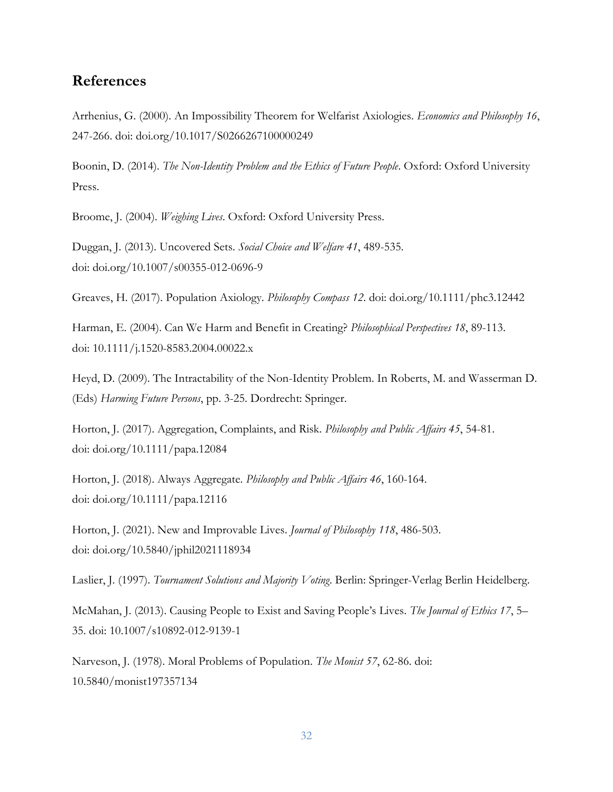## **References**

Arrhenius, G. (2000). An Impossibility Theorem for Welfarist Axiologies. *Economics and Philosophy 16*, 247-266. doi: doi.org/10.1017/S0266267100000249

Boonin, D. (2014). *The Non-Identity Problem and the Ethics of Future People*. Oxford: Oxford University Press.

Broome, J. (2004). *Weighing Lives*. Oxford: Oxford University Press.

Duggan, J. (2013). Uncovered Sets. *Social Choice and Welfare 41*, 489-535. doi: doi.org/10.1007/s00355-012-0696-9

Greaves, H. (2017). Population Axiology. *Philosophy Compass 12*. doi: doi.org/10.1111/phc3.12442

Harman, E. (2004). Can We Harm and Benefit in Creating? *Philosophical Perspectives 18*, 89-113. doi: 10.1111/j.1520-8583.2004.00022.x

Heyd, D. (2009). The Intractability of the Non-Identity Problem. In Roberts, M. and Wasserman D. (Eds) *Harming Future Persons*, pp. 3-25. Dordrecht: Springer.

Horton, J. (2017). Aggregation, Complaints, and Risk. *Philosophy and Public Affairs 45*, 54-81. doi: doi.org/10.1111/papa.12084

Horton, J. (2018). Always Aggregate. *Philosophy and Public Affairs 46*, 160-164. doi: doi.org/10.1111/papa.12116

Horton, J. (2021). New and Improvable Lives. *Journal of Philosophy 118*, 486-503. doi: doi.org/10.5840/jphil2021118934

Laslier, J. (1997). *Tournament Solutions and Majority Voting*. Berlin: Springer-Verlag Berlin Heidelberg.

McMahan, J. (2013). Causing People to Exist and Saving People's Lives. *The Journal of Ethics 17*, 5– 35. doi: 10.1007/s10892-012-9139-1

Narveson, J. (1978). Moral Problems of Population. *The Monist 57*, 62-86. doi: 10.5840/monist197357134